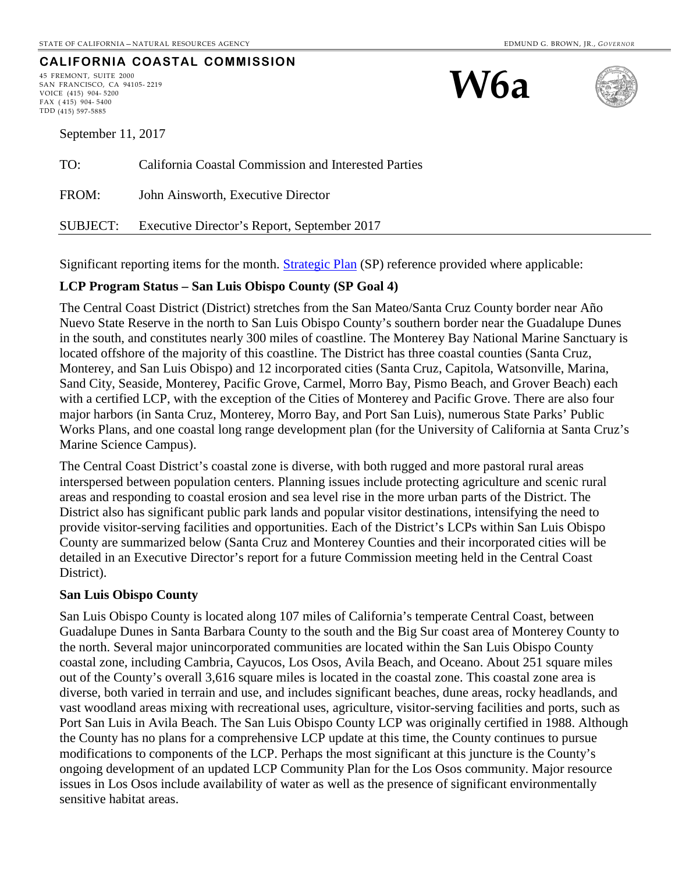### **CALIFORNIA COASTAL COMMISSION**

45 FREMONT, SUITE 2000 SAN FRANCISCO, CA 94105- 2219 VOICE (415) 904- 5200 FAX ( 415) 904- 5400 TDD (415) 597-5885





September 11, 2017

| TO:   | California Coastal Commission and Interested Parties |
|-------|------------------------------------------------------|
| FROM: | John Ainsworth, Executive Director                   |
|       | SUBJECT: Executive Director's Report, September 2017 |

Significant reporting items for the month. [Strategic Plan](http://www.coastal.ca.gov/strategicplan/CCC_Final_StrategicPlan_2013-2018.pdf) (SP) reference provided where applicable:

#### **LCP Program Status – San Luis Obispo County (SP Goal 4)**

The Central Coast District (District) stretches from the San Mateo/Santa Cruz County border near Año Nuevo State Reserve in the north to San Luis Obispo County's southern border near the Guadalupe Dunes in the south, and constitutes nearly 300 miles of coastline. The Monterey Bay National Marine Sanctuary is located offshore of the majority of this coastline. The District has three coastal counties (Santa Cruz, Monterey, and San Luis Obispo) and 12 incorporated cities (Santa Cruz, Capitola, Watsonville, Marina, Sand City, Seaside, Monterey, Pacific Grove, Carmel, Morro Bay, Pismo Beach, and Grover Beach) each with a certified LCP, with the exception of the Cities of Monterey and Pacific Grove. There are also four major harbors (in Santa Cruz, Monterey, Morro Bay, and Port San Luis), numerous State Parks' Public Works Plans, and one coastal long range development plan (for the University of California at Santa Cruz's Marine Science Campus).

The Central Coast District's coastal zone is diverse, with both rugged and more pastoral rural areas interspersed between population centers. Planning issues include protecting agriculture and scenic rural areas and responding to coastal erosion and sea level rise in the more urban parts of the District. The District also has significant public park lands and popular visitor destinations, intensifying the need to provide visitor-serving facilities and opportunities. Each of the District's LCPs within San Luis Obispo County are summarized below (Santa Cruz and Monterey Counties and their incorporated cities will be detailed in an Executive Director's report for a future Commission meeting held in the Central Coast District).

#### **San Luis Obispo County**

San Luis Obispo County is located along 107 miles of California's temperate Central Coast, between Guadalupe Dunes in Santa Barbara County to the south and the Big Sur coast area of Monterey County to the north. Several major unincorporated communities are located within the San Luis Obispo County coastal zone, including Cambria, Cayucos, Los Osos, Avila Beach, and Oceano. About 251 square miles out of the County's overall 3,616 square miles is located in the coastal zone. This coastal zone area is diverse, both varied in terrain and use, and includes significant beaches, dune areas, rocky headlands, and vast woodland areas mixing with recreational uses, agriculture, visitor-serving facilities and ports, such as Port San Luis in Avila Beach. The San Luis Obispo County LCP was originally certified in 1988. Although the County has no plans for a comprehensive LCP update at this time, the County continues to pursue modifications to components of the LCP. Perhaps the most significant at this juncture is the County's ongoing development of an updated LCP Community Plan for the Los Osos community. Major resource issues in Los Osos include availability of water as well as the presence of significant environmentally sensitive habitat areas.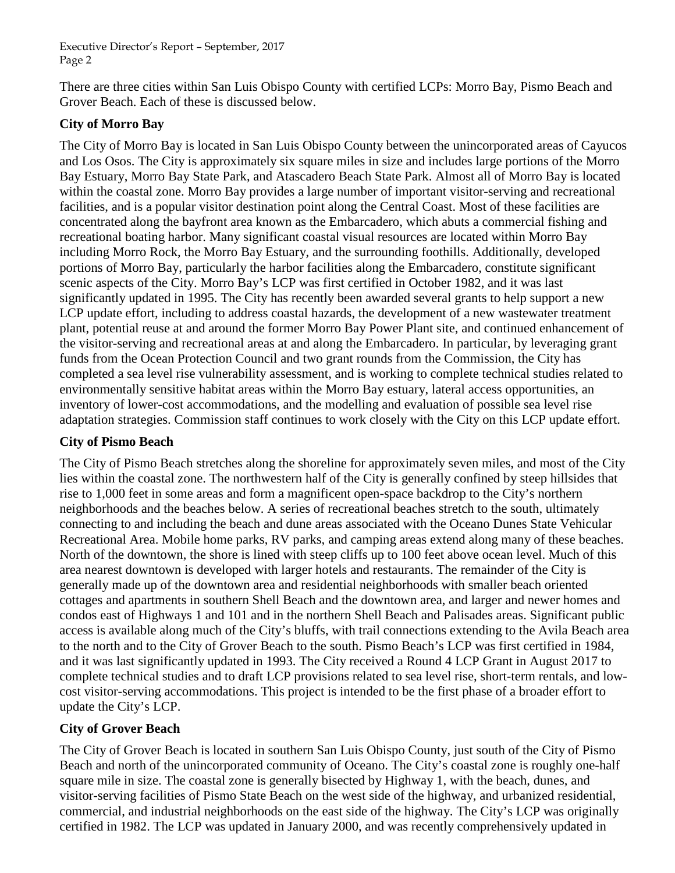There are three cities within San Luis Obispo County with certified LCPs: Morro Bay, Pismo Beach and Grover Beach. Each of these is discussed below.

# **City of Morro Bay**

The City of Morro Bay is located in San Luis Obispo County between the unincorporated areas of Cayucos and Los Osos. The City is approximately six square miles in size and includes large portions of the Morro Bay Estuary, Morro Bay State Park, and Atascadero Beach State Park. Almost all of Morro Bay is located within the coastal zone. Morro Bay provides a large number of important visitor-serving and recreational facilities, and is a popular visitor destination point along the Central Coast. Most of these facilities are concentrated along the bayfront area known as the Embarcadero, which abuts a commercial fishing and recreational boating harbor. Many significant coastal visual resources are located within Morro Bay including Morro Rock, the Morro Bay Estuary, and the surrounding foothills. Additionally, developed portions of Morro Bay, particularly the harbor facilities along the Embarcadero, constitute significant scenic aspects of the City. Morro Bay's LCP was first certified in October 1982, and it was last significantly updated in 1995. The City has recently been awarded several grants to help support a new LCP update effort, including to address coastal hazards, the development of a new wastewater treatment plant, potential reuse at and around the former Morro Bay Power Plant site, and continued enhancement of the visitor-serving and recreational areas at and along the Embarcadero. In particular, by leveraging grant funds from the Ocean Protection Council and two grant rounds from the Commission, the City has completed a sea level rise vulnerability assessment, and is working to complete technical studies related to environmentally sensitive habitat areas within the Morro Bay estuary, lateral access opportunities, an inventory of lower-cost accommodations, and the modelling and evaluation of possible sea level rise adaptation strategies. Commission staff continues to work closely with the City on this LCP update effort.

# **City of Pismo Beach**

The City of Pismo Beach stretches along the shoreline for approximately seven miles, and most of the City lies within the coastal zone. The northwestern half of the City is generally confined by steep hillsides that rise to 1,000 feet in some areas and form a magnificent open-space backdrop to the City's northern neighborhoods and the beaches below. A series of recreational beaches stretch to the south, ultimately connecting to and including the beach and dune areas associated with the Oceano Dunes State Vehicular Recreational Area. Mobile home parks, RV parks, and camping areas extend along many of these beaches. North of the downtown, the shore is lined with steep cliffs up to 100 feet above ocean level. Much of this area nearest downtown is developed with larger hotels and restaurants. The remainder of the City is generally made up of the downtown area and residential neighborhoods with smaller beach oriented cottages and apartments in southern Shell Beach and the downtown area, and larger and newer homes and condos east of Highways 1 and 101 and in the northern Shell Beach and Palisades areas. Significant public access is available along much of the City's bluffs, with trail connections extending to the Avila Beach area to the north and to the City of Grover Beach to the south. Pismo Beach's LCP was first certified in 1984, and it was last significantly updated in 1993. The City received a Round 4 LCP Grant in August 2017 to complete technical studies and to draft LCP provisions related to sea level rise, short-term rentals, and lowcost visitor-serving accommodations. This project is intended to be the first phase of a broader effort to update the City's LCP.

# **City of Grover Beach**

The City of Grover Beach is located in southern San Luis Obispo County, just south of the City of Pismo Beach and north of the unincorporated community of Oceano. The City's coastal zone is roughly one-half square mile in size. The coastal zone is generally bisected by Highway 1, with the beach, dunes, and visitor-serving facilities of Pismo State Beach on the west side of the highway, and urbanized residential, commercial, and industrial neighborhoods on the east side of the highway. The City's LCP was originally certified in 1982. The LCP was updated in January 2000, and was recently comprehensively updated in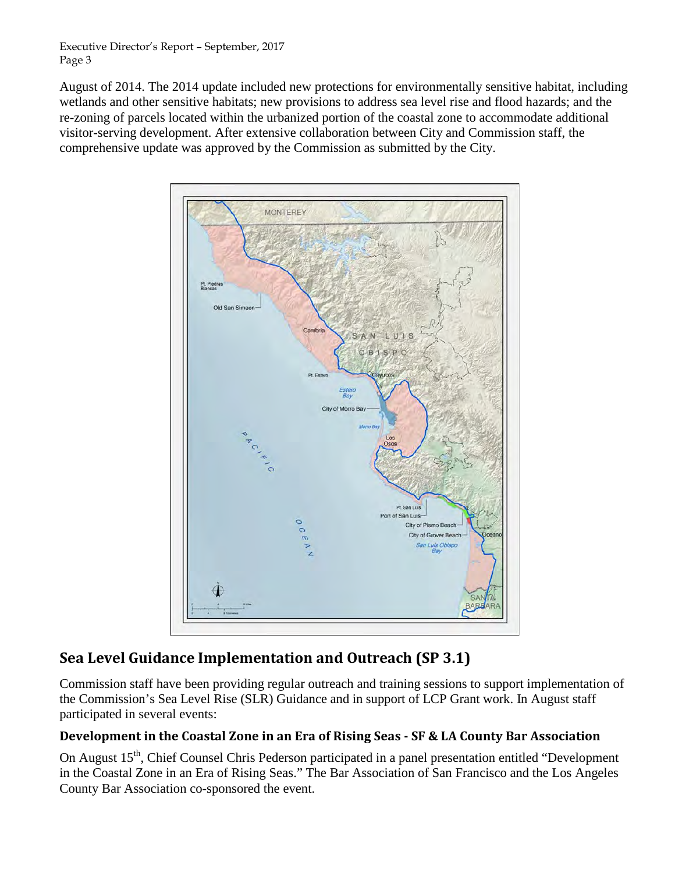August of 2014. The 2014 update included new protections for environmentally sensitive habitat, including wetlands and other sensitive habitats; new provisions to address sea level rise and flood hazards; and the re-zoning of parcels located within the urbanized portion of the coastal zone to accommodate additional visitor-serving development. After extensive collaboration between City and Commission staff, the comprehensive update was approved by the Commission as submitted by the City.



# **Sea Level Guidance Implementation and Outreach (SP 3.1)**

Commission staff have been providing regular outreach and training sessions to support implementation of the Commission's Sea Level Rise (SLR) Guidance and in support of LCP Grant work. In August staff participated in several events:

# **Development in the Coastal Zone in an Era of Rising Seas - SF & LA County Bar Association**

On August 15<sup>th</sup>, Chief Counsel Chris Pederson participated in a panel presentation entitled "Development in the Coastal Zone in an Era of Rising Seas." The Bar Association of San Francisco and the Los Angeles County Bar Association co-sponsored the event.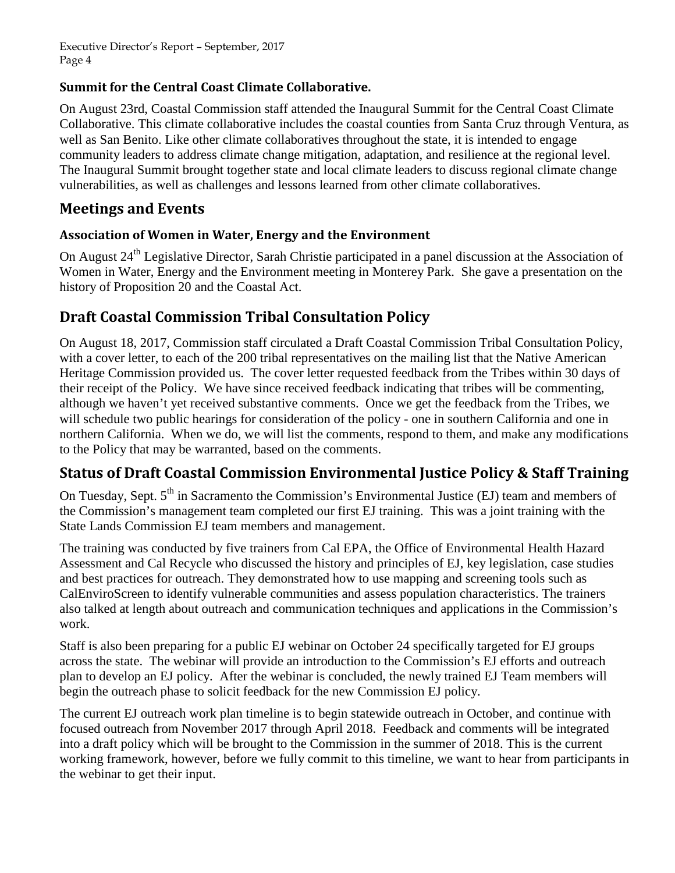# **Summit for the Central Coast Climate Collaborative.**

On August 23rd, Coastal Commission staff attended the Inaugural Summit for the Central Coast Climate Collaborative. This climate collaborative includes the coastal counties from Santa Cruz through Ventura, as well as San Benito. Like other climate collaboratives throughout the state, it is intended to engage community leaders to address climate change mitigation, adaptation, and resilience at the regional level. The Inaugural Summit brought together state and local climate leaders to discuss regional climate change vulnerabilities, as well as challenges and lessons learned from other climate collaboratives.

# **Meetings and Events**

## **Association of Women in Water, Energy and the Environment**

On August 24<sup>th</sup> Legislative Director, Sarah Christie participated in a panel discussion at the Association of Women in Water, Energy and the Environment meeting in Monterey Park. She gave a presentation on the history of Proposition 20 and the Coastal Act.

# **Draft Coastal Commission Tribal Consultation Policy**

On August 18, 2017, Commission staff circulated a Draft Coastal Commission Tribal Consultation Policy, with a cover letter, to each of the 200 tribal representatives on the mailing list that the Native American Heritage Commission provided us. The cover letter requested feedback from the Tribes within 30 days of their receipt of the Policy. We have since received feedback indicating that tribes will be commenting, although we haven't yet received substantive comments. Once we get the feedback from the Tribes, we will schedule two public hearings for consideration of the policy - one in southern California and one in northern California. When we do, we will list the comments, respond to them, and make any modifications to the Policy that may be warranted, based on the comments.

# **Status of Draft Coastal Commission Environmental Justice Policy & Staff Training**

On Tuesday, Sept. 5<sup>th</sup> in Sacramento the Commission's Environmental Justice (EJ) team and members of the Commission's management team completed our first EJ training. This was a joint training with the State Lands Commission EJ team members and management.

The training was conducted by five trainers from Cal EPA, the Office of Environmental Health Hazard Assessment and Cal Recycle who discussed the history and principles of EJ, key legislation, case studies and best practices for outreach. They demonstrated how to use mapping and screening tools such as CalEnviroScreen to identify vulnerable communities and assess population characteristics. The trainers also talked at length about outreach and communication techniques and applications in the Commission's work.

Staff is also been preparing for a public EJ webinar on October 24 specifically targeted for EJ groups across the state. The webinar will provide an introduction to the Commission's EJ efforts and outreach plan to develop an EJ policy. After the webinar is concluded, the newly trained EJ Team members will begin the outreach phase to solicit feedback for the new Commission EJ policy.

The current EJ outreach work plan timeline is to begin statewide outreach in October, and continue with focused outreach from November 2017 through April 2018. Feedback and comments will be integrated into a draft policy which will be brought to the Commission in the summer of 2018. This is the current working framework, however, before we fully commit to this timeline, we want to hear from participants in the webinar to get their input.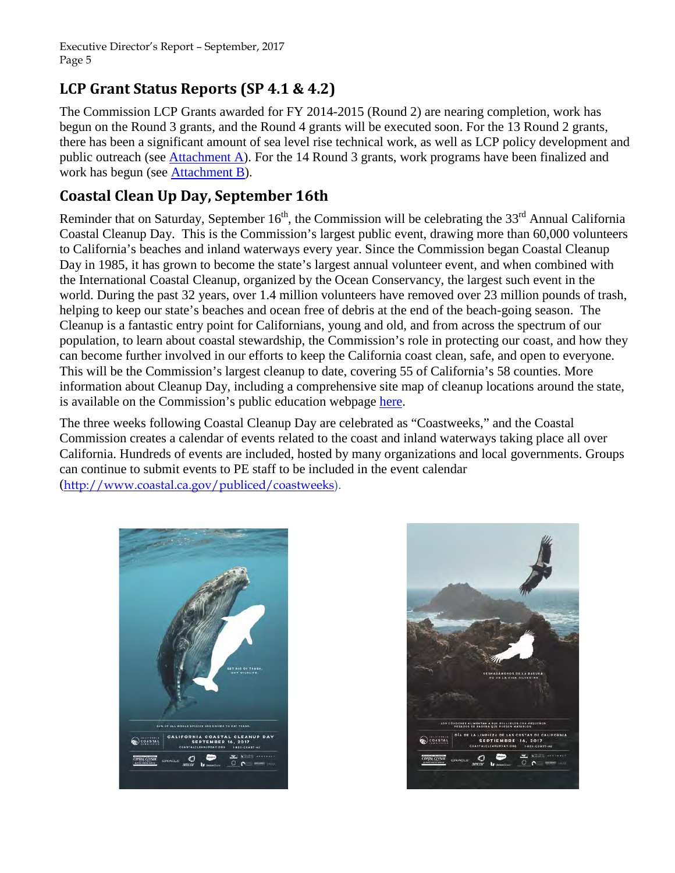# **LCP Grant Status Reports (SP 4.1 & 4.2)**

The Commission LCP Grants awarded for FY 2014-2015 (Round 2) are nearing completion, work has begun on the Round 3 grants, and the Round 4 grants will be executed soon. For the 13 Round 2 grants, there has been a significant amount of sea level rise technical work, as well as LCP policy development and public outreach (see *Attachment A*). For the 14 Round 3 grants, work programs have been finalized and work has begun (see **Attachment B**).

# **Coastal Clean Up Day, September 16th**

Reminder that on Saturday, September  $16<sup>th</sup>$ , the Commission will be celebrating the 33<sup>rd</sup> Annual California Coastal Cleanup Day. This is the Commission's largest public event, drawing more than 60,000 volunteers to California's beaches and inland waterways every year. Since the Commission began Coastal Cleanup Day in 1985, it has grown to become the state's largest annual volunteer event, and when combined with the International Coastal Cleanup, organized by the Ocean Conservancy, the largest such event in the world. During the past 32 years, over 1.4 million volunteers have removed over 23 million pounds of trash, helping to keep our state's beaches and ocean free of debris at the end of the beach-going season. The Cleanup is a fantastic entry point for Californians, young and old, and from across the spectrum of our population, to learn about coastal stewardship, the Commission's role in protecting our coast, and how they can become further involved in our efforts to keep the California coast clean, safe, and open to everyone. This will be the Commission's largest cleanup to date, covering 55 of California's 58 counties. More information about Cleanup Day, including a comprehensive site map of cleanup locations around the state, is available on the Commission's public education webpage [here.](https://www.coastal.ca.gov/publiced/ccd/cleanup/#/map)

The three weeks following Coastal Cleanup Day are celebrated as "Coastweeks," and the Coastal Commission creates a calendar of events related to the coast and inland waterways taking place all over California. Hundreds of events are included, hosted by many organizations and local governments. Groups can continue to submit events to PE staff to be included in the event calendar ([http://www.coastal.ca.gov/publiced/coastweeks\)](http://www.coastal.ca.gov/publiced/coastweeks).



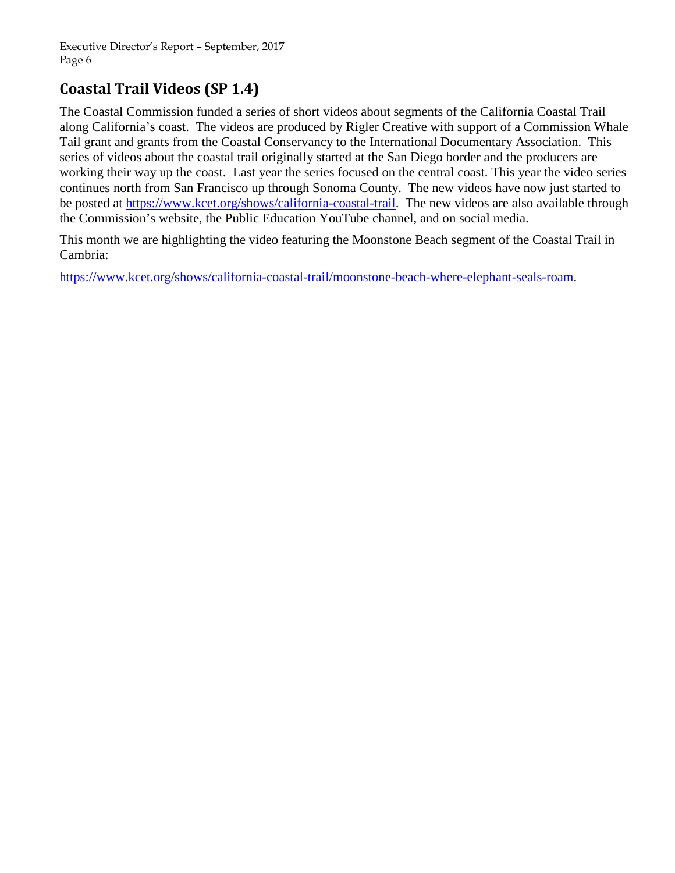# **Coastal Trail Videos (SP 1.4)**

The Coastal Commission funded a series of short videos about segments of the California Coastal Trail along California's coast. The videos are produced by Rigler Creative with support of a Commission Whale Tail grant and grants from the Coastal Conservancy to the International Documentary Association. This series of videos about the coastal trail originally started at the San Diego border and the producers are working their way up the coast. Last year the series focused on the central coast. This year the video series continues north from San Francisco up through Sonoma County. The new videos have now just started to be posted at [https://www.kcet.org/shows/california-coastal-trail.](https://www.kcet.org/shows/california-coastal-trail) The new videos are also available through the Commission's website, the Public Education YouTube channel, and on social media.

This month we are highlighting the video featuring the Moonstone Beach segment of the Coastal Trail in Cambria:

[https://www.kcet.org/shows/california-coastal-trail/moonstone-beach-where-elephant-seals-roam.](https://www.kcet.org/shows/california-coastal-trail/moonstone-beach-where-elephant-seals-roam)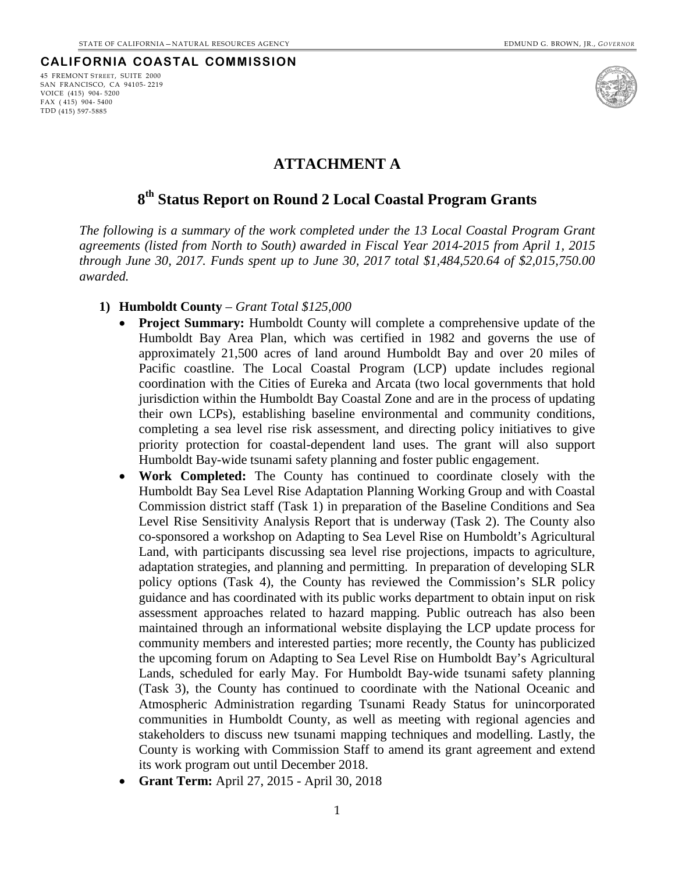#### **CALIFORNIA COASTAL COMMISSION**





### **ATTACHMENT A**

## <span id="page-6-0"></span>**8th Status Report on Round 2 Local Coastal Program Grants**

*The following is a summary of the work completed under the 13 Local Coastal Program Grant agreements (listed from North to South) awarded in Fiscal Year 2014-2015 from April 1, 2015 through June 30, 2017. Funds spent up to June 30, 2017 total \$1,484,520.64 of \$2,015,750.00 awarded.*

- **1) Humboldt County**  *Grant Total \$125,000*
	- **Project Summary:** Humboldt County will complete a comprehensive update of the Humboldt Bay Area Plan, which was certified in 1982 and governs the use of approximately 21,500 acres of land around Humboldt Bay and over 20 miles of Pacific coastline. The Local Coastal Program (LCP) update includes regional coordination with the Cities of Eureka and Arcata (two local governments that hold jurisdiction within the Humboldt Bay Coastal Zone and are in the process of updating their own LCPs), establishing baseline environmental and community conditions, completing a sea level rise risk assessment, and directing policy initiatives to give priority protection for coastal-dependent land uses. The grant will also support Humboldt Bay-wide tsunami safety planning and foster public engagement.
	- **Work Completed:** The County has continued to coordinate closely with the Humboldt Bay Sea Level Rise Adaptation Planning Working Group and with Coastal Commission district staff (Task 1) in preparation of the Baseline Conditions and Sea Level Rise Sensitivity Analysis Report that is underway (Task 2). The County also co-sponsored a workshop on Adapting to Sea Level Rise on Humboldt's Agricultural Land, with participants discussing sea level rise projections, impacts to agriculture, adaptation strategies, and planning and permitting. In preparation of developing SLR policy options (Task 4), the County has reviewed the Commission's SLR policy guidance and has coordinated with its public works department to obtain input on risk assessment approaches related to hazard mapping. Public outreach has also been maintained through an informational website displaying the LCP update process for community members and interested parties; more recently, the County has publicized the upcoming forum on Adapting to Sea Level Rise on Humboldt Bay's Agricultural Lands, scheduled for early May. For Humboldt Bay-wide tsunami safety planning (Task 3), the County has continued to coordinate with the National Oceanic and Atmospheric Administration regarding Tsunami Ready Status for unincorporated communities in Humboldt County, as well as meeting with regional agencies and stakeholders to discuss new tsunami mapping techniques and modelling. Lastly, the County is working with Commission Staff to amend its grant agreement and extend its work program out until December 2018.
	- **Grant Term:** April 27, 2015 April 30, 2018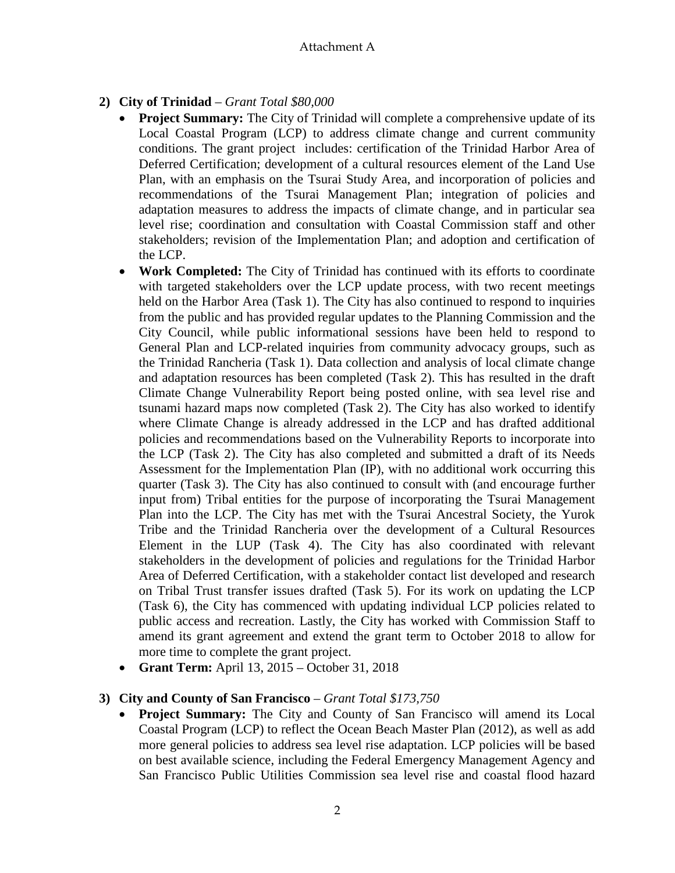# **2) City of Trinidad** – *Grant Total \$80,000*

- **Project Summary:** The City of Trinidad will complete a comprehensive update of its Local Coastal Program (LCP) to address climate change and current community conditions. The grant project includes: certification of the Trinidad Harbor Area of Deferred Certification; development of a cultural resources element of the Land Use Plan, with an emphasis on the Tsurai Study Area, and incorporation of policies and recommendations of the Tsurai Management Plan; integration of policies and adaptation measures to address the impacts of climate change, and in particular sea level rise; coordination and consultation with Coastal Commission staff and other stakeholders; revision of the Implementation Plan; and adoption and certification of the LCP.
- **Work Completed:** The City of Trinidad has continued with its efforts to coordinate with targeted stakeholders over the LCP update process, with two recent meetings held on the Harbor Area (Task 1). The City has also continued to respond to inquiries from the public and has provided regular updates to the Planning Commission and the City Council, while public informational sessions have been held to respond to General Plan and LCP-related inquiries from community advocacy groups, such as the Trinidad Rancheria (Task 1). Data collection and analysis of local climate change and adaptation resources has been completed (Task 2). This has resulted in the draft Climate Change Vulnerability Report being posted online, with sea level rise and tsunami hazard maps now completed (Task 2). The City has also worked to identify where Climate Change is already addressed in the LCP and has drafted additional policies and recommendations based on the Vulnerability Reports to incorporate into the LCP (Task 2). The City has also completed and submitted a draft of its Needs Assessment for the Implementation Plan (IP), with no additional work occurring this quarter (Task 3). The City has also continued to consult with (and encourage further input from) Tribal entities for the purpose of incorporating the Tsurai Management Plan into the LCP. The City has met with the Tsurai Ancestral Society, the Yurok Tribe and the Trinidad Rancheria over the development of a Cultural Resources Element in the LUP (Task 4). The City has also coordinated with relevant stakeholders in the development of policies and regulations for the Trinidad Harbor Area of Deferred Certification, with a stakeholder contact list developed and research on Tribal Trust transfer issues drafted (Task 5). For its work on updating the LCP (Task 6), the City has commenced with updating individual LCP policies related to public access and recreation. Lastly, the City has worked with Commission Staff to amend its grant agreement and extend the grant term to October 2018 to allow for more time to complete the grant project.
- **Grant Term:** April 13, 2015 October 31, 2018

## **3) City and County of San Francisco** – *Grant Total \$173,750*

• **Project Summary:** The City and County of San Francisco will amend its Local Coastal Program (LCP) to reflect the Ocean Beach Master Plan (2012), as well as add more general policies to address sea level rise adaptation. LCP policies will be based on best available science, including the Federal Emergency Management Agency and San Francisco Public Utilities Commission sea level rise and coastal flood hazard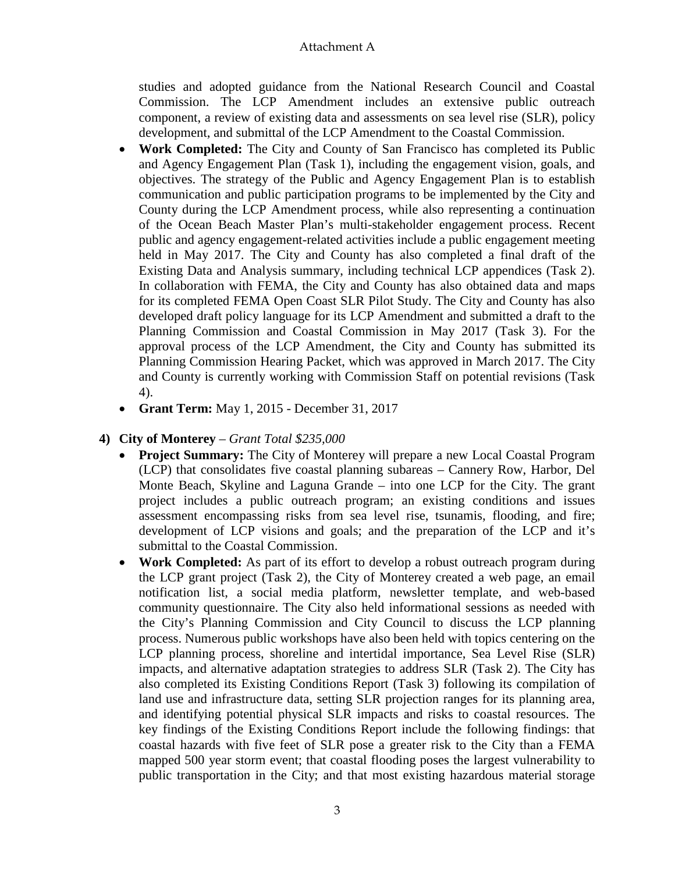studies and adopted guidance from the National Research Council and Coastal Commission. The LCP Amendment includes an extensive public outreach component, a review of existing data and assessments on sea level rise (SLR), policy development, and submittal of the LCP Amendment to the Coastal Commission.

- **Work Completed:** The City and County of San Francisco has completed its Public and Agency Engagement Plan (Task 1), including the engagement vision, goals, and objectives. The strategy of the Public and Agency Engagement Plan is to establish communication and public participation programs to be implemented by the City and County during the LCP Amendment process, while also representing a continuation of the Ocean Beach Master Plan's multi-stakeholder engagement process. Recent public and agency engagement-related activities include a public engagement meeting held in May 2017. The City and County has also completed a final draft of the Existing Data and Analysis summary, including technical LCP appendices (Task 2). In collaboration with FEMA, the City and County has also obtained data and maps for its completed FEMA Open Coast SLR Pilot Study. The City and County has also developed draft policy language for its LCP Amendment and submitted a draft to the Planning Commission and Coastal Commission in May 2017 (Task 3). For the approval process of the LCP Amendment, the City and County has submitted its Planning Commission Hearing Packet, which was approved in March 2017. The City and County is currently working with Commission Staff on potential revisions (Task 4).
- **Grant Term:** May 1, 2015 December 31, 2017

## **4) City of Monterey** – *Grant Total \$235,000*

- **Project Summary:** The City of Monterey will prepare a new Local Coastal Program (LCP) that consolidates five coastal planning subareas – Cannery Row, Harbor, Del Monte Beach, Skyline and Laguna Grande – into one LCP for the City. The grant project includes a public outreach program; an existing conditions and issues assessment encompassing risks from sea level rise, tsunamis, flooding, and fire; development of LCP visions and goals; and the preparation of the LCP and it's submittal to the Coastal Commission.
- **Work Completed:** As part of its effort to develop a robust outreach program during the LCP grant project (Task 2), the City of Monterey created a web page, an email notification list, a social media platform, newsletter template, and web-based community questionnaire. The City also held informational sessions as needed with the City's Planning Commission and City Council to discuss the LCP planning process. Numerous public workshops have also been held with topics centering on the LCP planning process, shoreline and intertidal importance, Sea Level Rise (SLR) impacts, and alternative adaptation strategies to address SLR (Task 2). The City has also completed its Existing Conditions Report (Task 3) following its compilation of land use and infrastructure data, setting SLR projection ranges for its planning area, and identifying potential physical SLR impacts and risks to coastal resources. The key findings of the Existing Conditions Report include the following findings: that coastal hazards with five feet of SLR pose a greater risk to the City than a FEMA mapped 500 year storm event; that coastal flooding poses the largest vulnerability to public transportation in the City; and that most existing hazardous material storage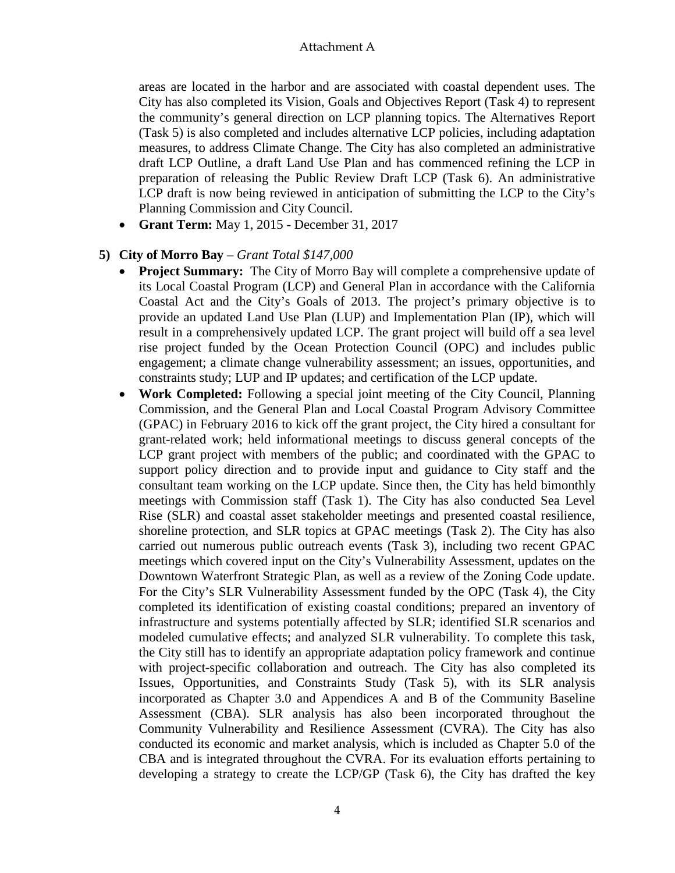areas are located in the harbor and are associated with coastal dependent uses. The City has also completed its Vision, Goals and Objectives Report (Task 4) to represent the community's general direction on LCP planning topics. The Alternatives Report (Task 5) is also completed and includes alternative LCP policies, including adaptation measures, to address Climate Change. The City has also completed an administrative draft LCP Outline, a draft Land Use Plan and has commenced refining the LCP in preparation of releasing the Public Review Draft LCP (Task 6). An administrative LCP draft is now being reviewed in anticipation of submitting the LCP to the City's Planning Commission and City Council.

• **Grant Term:** May 1, 2015 - December 31, 2017

### **5) City of Morro Bay** – *Grant Total \$147,000*

- **Project Summary:** The City of Morro Bay will complete a comprehensive update of its Local Coastal Program (LCP) and General Plan in accordance with the California Coastal Act and the City's Goals of 2013. The project's primary objective is to provide an updated Land Use Plan (LUP) and Implementation Plan (IP), which will result in a comprehensively updated LCP. The grant project will build off a sea level rise project funded by the Ocean Protection Council (OPC) and includes public engagement; a climate change vulnerability assessment; an issues, opportunities, and constraints study; LUP and IP updates; and certification of the LCP update.
- **Work Completed:** Following a special joint meeting of the City Council, Planning Commission, and the General Plan and Local Coastal Program Advisory Committee (GPAC) in February 2016 to kick off the grant project, the City hired a consultant for grant-related work; held informational meetings to discuss general concepts of the LCP grant project with members of the public; and coordinated with the GPAC to support policy direction and to provide input and guidance to City staff and the consultant team working on the LCP update. Since then, the City has held bimonthly meetings with Commission staff (Task 1). The City has also conducted Sea Level Rise (SLR) and coastal asset stakeholder meetings and presented coastal resilience, shoreline protection, and SLR topics at GPAC meetings (Task 2). The City has also carried out numerous public outreach events (Task 3), including two recent GPAC meetings which covered input on the City's Vulnerability Assessment, updates on the Downtown Waterfront Strategic Plan, as well as a review of the Zoning Code update. For the City's SLR Vulnerability Assessment funded by the OPC (Task 4), the City completed its identification of existing coastal conditions; prepared an inventory of infrastructure and systems potentially affected by SLR; identified SLR scenarios and modeled cumulative effects; and analyzed SLR vulnerability. To complete this task, the City still has to identify an appropriate adaptation policy framework and continue with project-specific collaboration and outreach. The City has also completed its Issues, Opportunities, and Constraints Study (Task 5), with its SLR analysis incorporated as Chapter 3.0 and Appendices A and B of the Community Baseline Assessment (CBA). SLR analysis has also been incorporated throughout the Community Vulnerability and Resilience Assessment (CVRA). The City has also conducted its economic and market analysis, which is included as Chapter 5.0 of the CBA and is integrated throughout the CVRA. For its evaluation efforts pertaining to developing a strategy to create the LCP/GP (Task 6), the City has drafted the key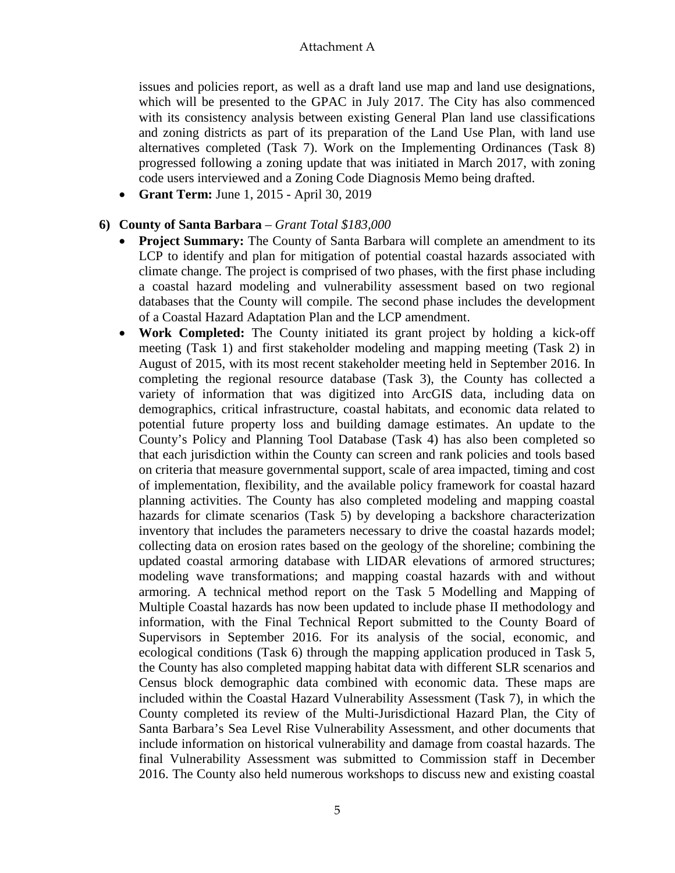issues and policies report, as well as a draft land use map and land use designations, which will be presented to the GPAC in July 2017. The City has also commenced with its consistency analysis between existing General Plan land use classifications and zoning districts as part of its preparation of the Land Use Plan, with land use alternatives completed (Task 7). Work on the Implementing Ordinances (Task 8) progressed following a zoning update that was initiated in March 2017, with zoning code users interviewed and a Zoning Code Diagnosis Memo being drafted.

• **Grant Term:** June 1, 2015 - April 30, 2019

### **6) County of Santa Barbara** – *Grant Total \$183,000*

- **Project Summary:** The County of Santa Barbara will complete an amendment to its LCP to identify and plan for mitigation of potential coastal hazards associated with climate change. The project is comprised of two phases, with the first phase including a coastal hazard modeling and vulnerability assessment based on two regional databases that the County will compile. The second phase includes the development of a Coastal Hazard Adaptation Plan and the LCP amendment.
- **Work Completed:** The County initiated its grant project by holding a kick-off meeting (Task 1) and first stakeholder modeling and mapping meeting (Task 2) in August of 2015, with its most recent stakeholder meeting held in September 2016. In completing the regional resource database (Task 3), the County has collected a variety of information that was digitized into ArcGIS data, including data on demographics, critical infrastructure, coastal habitats, and economic data related to potential future property loss and building damage estimates. An update to the County's Policy and Planning Tool Database (Task 4) has also been completed so that each jurisdiction within the County can screen and rank policies and tools based on criteria that measure governmental support, scale of area impacted, timing and cost of implementation, flexibility, and the available policy framework for coastal hazard planning activities. The County has also completed modeling and mapping coastal hazards for climate scenarios (Task 5) by developing a backshore characterization inventory that includes the parameters necessary to drive the coastal hazards model; collecting data on erosion rates based on the geology of the shoreline; combining the updated coastal armoring database with LIDAR elevations of armored structures; modeling wave transformations; and mapping coastal hazards with and without armoring. A technical method report on the Task 5 Modelling and Mapping of Multiple Coastal hazards has now been updated to include phase II methodology and information, with the Final Technical Report submitted to the County Board of Supervisors in September 2016. For its analysis of the social, economic, and ecological conditions (Task 6) through the mapping application produced in Task 5, the County has also completed mapping habitat data with different SLR scenarios and Census block demographic data combined with economic data. These maps are included within the Coastal Hazard Vulnerability Assessment (Task 7), in which the County completed its review of the Multi-Jurisdictional Hazard Plan, the City of Santa Barbara's Sea Level Rise Vulnerability Assessment, and other documents that include information on historical vulnerability and damage from coastal hazards. The final Vulnerability Assessment was submitted to Commission staff in December 2016. The County also held numerous workshops to discuss new and existing coastal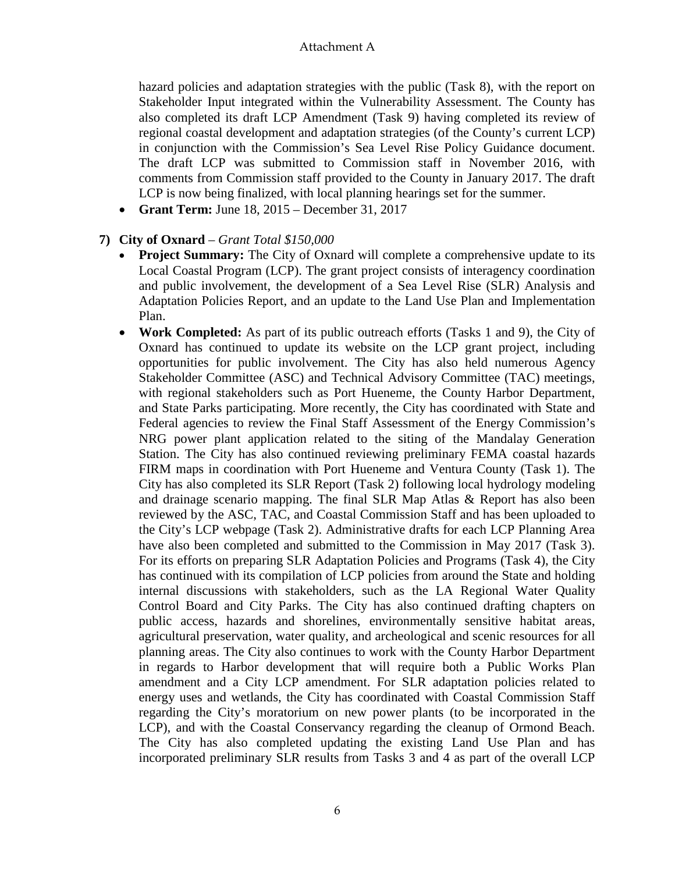hazard policies and adaptation strategies with the public (Task 8), with the report on Stakeholder Input integrated within the Vulnerability Assessment. The County has also completed its draft LCP Amendment (Task 9) having completed its review of regional coastal development and adaptation strategies (of the County's current LCP) in conjunction with the Commission's Sea Level Rise Policy Guidance document. The draft LCP was submitted to Commission staff in November 2016, with comments from Commission staff provided to the County in January 2017. The draft LCP is now being finalized, with local planning hearings set for the summer.

• **Grant Term:** June 18, 2015 – December 31, 2017

#### **7) City of Oxnard** – *Grant Total \$150,000*

- **Project Summary:** The City of Oxnard will complete a comprehensive update to its Local Coastal Program (LCP). The grant project consists of interagency coordination and public involvement, the development of a Sea Level Rise (SLR) Analysis and Adaptation Policies Report, and an update to the Land Use Plan and Implementation Plan.
- **Work Completed:** As part of its public outreach efforts (Tasks 1 and 9), the City of Oxnard has continued to update its website on the LCP grant project, including opportunities for public involvement. The City has also held numerous Agency Stakeholder Committee (ASC) and Technical Advisory Committee (TAC) meetings, with regional stakeholders such as Port Hueneme, the County Harbor Department, and State Parks participating. More recently, the City has coordinated with State and Federal agencies to review the Final Staff Assessment of the Energy Commission's NRG power plant application related to the siting of the Mandalay Generation Station. The City has also continued reviewing preliminary FEMA coastal hazards FIRM maps in coordination with Port Hueneme and Ventura County (Task 1). The City has also completed its SLR Report (Task 2) following local hydrology modeling and drainage scenario mapping. The final SLR Map Atlas & Report has also been reviewed by the ASC, TAC, and Coastal Commission Staff and has been uploaded to the City's LCP webpage (Task 2). Administrative drafts for each LCP Planning Area have also been completed and submitted to the Commission in May 2017 (Task 3). For its efforts on preparing SLR Adaptation Policies and Programs (Task 4), the City has continued with its compilation of LCP policies from around the State and holding internal discussions with stakeholders, such as the LA Regional Water Quality Control Board and City Parks. The City has also continued drafting chapters on public access, hazards and shorelines, environmentally sensitive habitat areas, agricultural preservation, water quality, and archeological and scenic resources for all planning areas. The City also continues to work with the County Harbor Department in regards to Harbor development that will require both a Public Works Plan amendment and a City LCP amendment. For SLR adaptation policies related to energy uses and wetlands, the City has coordinated with Coastal Commission Staff regarding the City's moratorium on new power plants (to be incorporated in the LCP), and with the Coastal Conservancy regarding the cleanup of Ormond Beach. The City has also completed updating the existing Land Use Plan and has incorporated preliminary SLR results from Tasks 3 and 4 as part of the overall LCP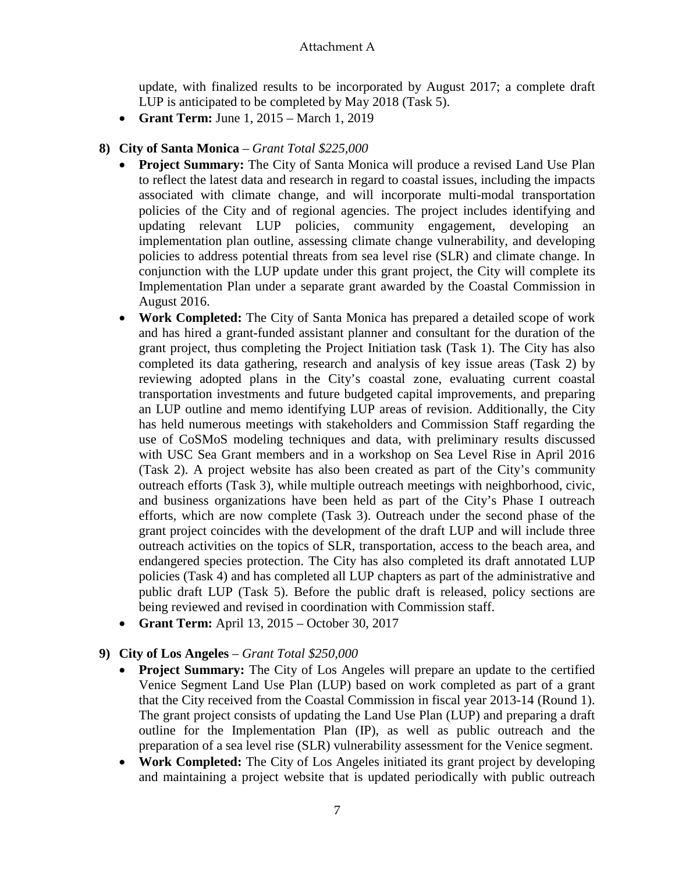update, with finalized results to be incorporated by August 2017; a complete draft LUP is anticipated to be completed by May 2018 (Task 5).

• **Grant Term:** June 1, 2015 – March 1, 2019

## **8) City of Santa Monica** – *Grant Total \$225,000*

- **Project Summary:** The City of Santa Monica will produce a revised Land Use Plan to reflect the latest data and research in regard to coastal issues, including the impacts associated with climate change, and will incorporate multi-modal transportation policies of the City and of regional agencies. The project includes identifying and updating relevant LUP policies, community engagement, developing an implementation plan outline, assessing climate change vulnerability, and developing policies to address potential threats from sea level rise (SLR) and climate change. In conjunction with the LUP update under this grant project, the City will complete its Implementation Plan under a separate grant awarded by the Coastal Commission in August 2016.
- **Work Completed:** The City of Santa Monica has prepared a detailed scope of work and has hired a grant-funded assistant planner and consultant for the duration of the grant project, thus completing the Project Initiation task (Task 1). The City has also completed its data gathering, research and analysis of key issue areas (Task 2) by reviewing adopted plans in the City's coastal zone, evaluating current coastal transportation investments and future budgeted capital improvements, and preparing an LUP outline and memo identifying LUP areas of revision. Additionally, the City has held numerous meetings with stakeholders and Commission Staff regarding the use of CoSMoS modeling techniques and data, with preliminary results discussed with USC Sea Grant members and in a workshop on Sea Level Rise in April 2016 (Task 2). A project website has also been created as part of the City's community outreach efforts (Task 3), while multiple outreach meetings with neighborhood, civic, and business organizations have been held as part of the City's Phase I outreach efforts, which are now complete (Task 3). Outreach under the second phase of the grant project coincides with the development of the draft LUP and will include three outreach activities on the topics of SLR, transportation, access to the beach area, and endangered species protection. The City has also completed its draft annotated LUP policies (Task 4) and has completed all LUP chapters as part of the administrative and public draft LUP (Task 5). Before the public draft is released, policy sections are being reviewed and revised in coordination with Commission staff.
- **Grant Term:** April 13, 2015 October 30, 2017

## **9) City of Los Angeles** – *Grant Total \$250,000*

- **Project Summary:** The City of Los Angeles will prepare an update to the certified Venice Segment Land Use Plan (LUP) based on work completed as part of a grant that the City received from the Coastal Commission in fiscal year 2013-14 (Round 1). The grant project consists of updating the Land Use Plan (LUP) and preparing a draft outline for the Implementation Plan (IP), as well as public outreach and the preparation of a sea level rise (SLR) vulnerability assessment for the Venice segment.
- **Work Completed:** The City of Los Angeles initiated its grant project by developing and maintaining a project website that is updated periodically with public outreach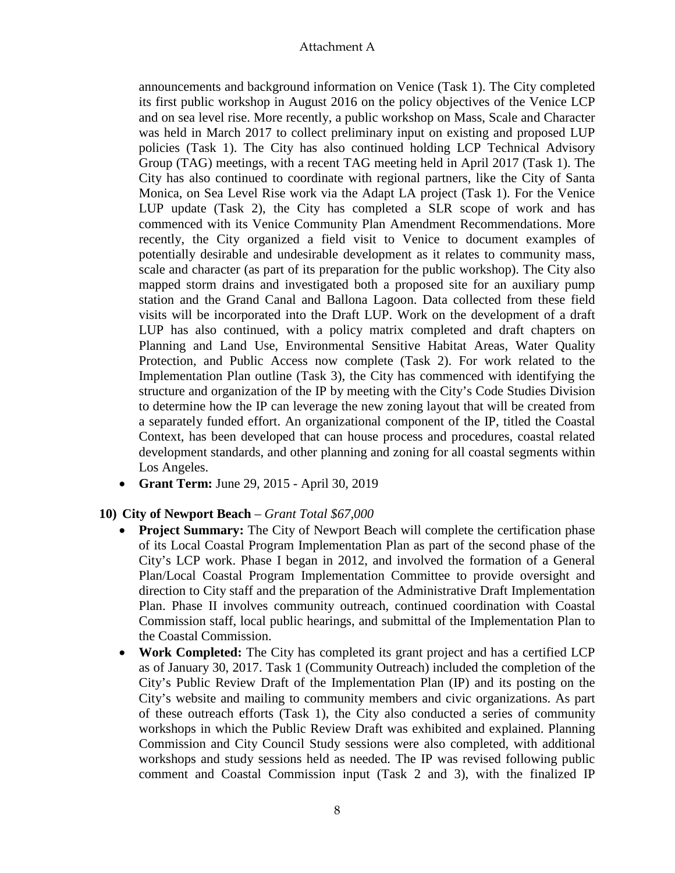announcements and background information on Venice (Task 1). The City completed its first public workshop in August 2016 on the policy objectives of the Venice LCP and on sea level rise. More recently, a public workshop on Mass, Scale and Character was held in March 2017 to collect preliminary input on existing and proposed LUP policies (Task 1). The City has also continued holding LCP Technical Advisory Group (TAG) meetings, with a recent TAG meeting held in April 2017 (Task 1). The City has also continued to coordinate with regional partners, like the City of Santa Monica, on Sea Level Rise work via the Adapt LA project (Task 1). For the Venice LUP update (Task 2), the City has completed a SLR scope of work and has commenced with its Venice Community Plan Amendment Recommendations. More recently, the City organized a field visit to Venice to document examples of potentially desirable and undesirable development as it relates to community mass, scale and character (as part of its preparation for the public workshop). The City also mapped storm drains and investigated both a proposed site for an auxiliary pump station and the Grand Canal and Ballona Lagoon. Data collected from these field visits will be incorporated into the Draft LUP. Work on the development of a draft LUP has also continued, with a policy matrix completed and draft chapters on Planning and Land Use, Environmental Sensitive Habitat Areas, Water Quality Protection, and Public Access now complete (Task 2). For work related to the Implementation Plan outline (Task 3), the City has commenced with identifying the structure and organization of the IP by meeting with the City's Code Studies Division to determine how the IP can leverage the new zoning layout that will be created from a separately funded effort. An organizational component of the IP, titled the Coastal Context, has been developed that can house process and procedures, coastal related development standards, and other planning and zoning for all coastal segments within Los Angeles.

• **Grant Term:** June 29, 2015 - April 30, 2019

## **10) City of Newport Beach** – *Grant Total \$67,000*

- **Project Summary:** The City of Newport Beach will complete the certification phase of its Local Coastal Program Implementation Plan as part of the second phase of the City's LCP work. Phase I began in 2012, and involved the formation of a General Plan/Local Coastal Program Implementation Committee to provide oversight and direction to City staff and the preparation of the Administrative Draft Implementation Plan. Phase II involves community outreach, continued coordination with Coastal Commission staff, local public hearings, and submittal of the Implementation Plan to the Coastal Commission.
- **Work Completed:** The City has completed its grant project and has a certified LCP as of January 30, 2017. Task 1 (Community Outreach) included the completion of the City's Public Review Draft of the Implementation Plan (IP) and its posting on the City's website and mailing to community members and civic organizations. As part of these outreach efforts (Task 1), the City also conducted a series of community workshops in which the Public Review Draft was exhibited and explained. Planning Commission and City Council Study sessions were also completed, with additional workshops and study sessions held as needed. The IP was revised following public comment and Coastal Commission input (Task 2 and 3), with the finalized IP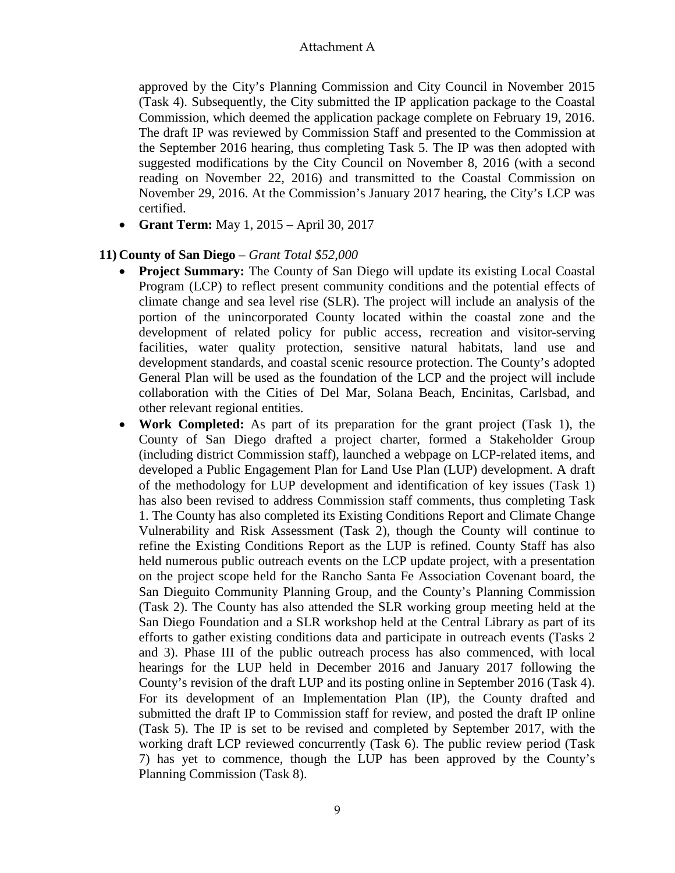approved by the City's Planning Commission and City Council in November 2015 (Task 4). Subsequently, the City submitted the IP application package to the Coastal Commission, which deemed the application package complete on February 19, 2016. The draft IP was reviewed by Commission Staff and presented to the Commission at the September 2016 hearing, thus completing Task 5. The IP was then adopted with suggested modifications by the City Council on November 8, 2016 (with a second reading on November 22, 2016) and transmitted to the Coastal Commission on November 29, 2016. At the Commission's January 2017 hearing, the City's LCP was certified.

• **Grant Term:** May 1, 2015 – April 30, 2017

### **11) County of San Diego** – *Grant Total \$52,000*

- **Project Summary:** The County of San Diego will update its existing Local Coastal Program (LCP) to reflect present community conditions and the potential effects of climate change and sea level rise (SLR). The project will include an analysis of the portion of the unincorporated County located within the coastal zone and the development of related policy for public access, recreation and visitor-serving facilities, water quality protection, sensitive natural habitats, land use and development standards, and coastal scenic resource protection. The County's adopted General Plan will be used as the foundation of the LCP and the project will include collaboration with the Cities of Del Mar, Solana Beach, Encinitas, Carlsbad, and other relevant regional entities.
- **Work Completed:** As part of its preparation for the grant project (Task 1), the County of San Diego drafted a project charter, formed a Stakeholder Group (including district Commission staff), launched a webpage on LCP-related items, and developed a Public Engagement Plan for Land Use Plan (LUP) development. A draft of the methodology for LUP development and identification of key issues (Task 1) has also been revised to address Commission staff comments, thus completing Task 1. The County has also completed its Existing Conditions Report and Climate Change Vulnerability and Risk Assessment (Task 2), though the County will continue to refine the Existing Conditions Report as the LUP is refined. County Staff has also held numerous public outreach events on the LCP update project, with a presentation on the project scope held for the Rancho Santa Fe Association Covenant board, the San Dieguito Community Planning Group, and the County's Planning Commission (Task 2). The County has also attended the SLR working group meeting held at the San Diego Foundation and a SLR workshop held at the Central Library as part of its efforts to gather existing conditions data and participate in outreach events (Tasks 2 and 3). Phase III of the public outreach process has also commenced, with local hearings for the LUP held in December 2016 and January 2017 following the County's revision of the draft LUP and its posting online in September 2016 (Task 4). For its development of an Implementation Plan (IP), the County drafted and submitted the draft IP to Commission staff for review, and posted the draft IP online (Task 5). The IP is set to be revised and completed by September 2017, with the working draft LCP reviewed concurrently (Task 6). The public review period (Task 7) has yet to commence, though the LUP has been approved by the County's Planning Commission (Task 8).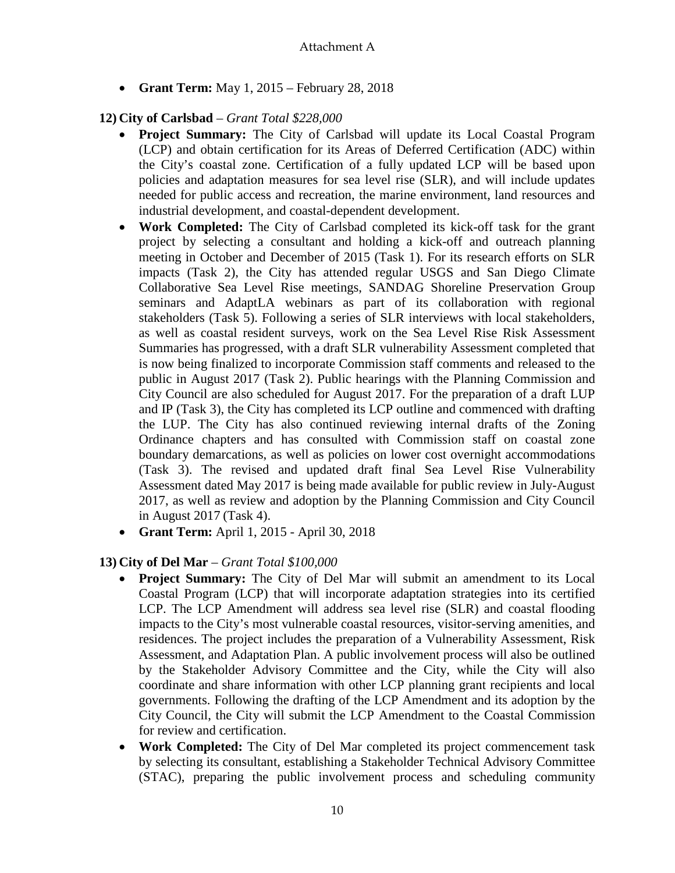• **Grant Term:** May 1, 2015 – February 28, 2018

## **12) City of Carlsbad** – *Grant Total \$228,000*

- **Project Summary:** The City of Carlsbad will update its Local Coastal Program (LCP) and obtain certification for its Areas of Deferred Certification (ADC) within the City's coastal zone. Certification of a fully updated LCP will be based upon policies and adaptation measures for sea level rise (SLR), and will include updates needed for public access and recreation, the marine environment, land resources and industrial development, and coastal-dependent development.
- **Work Completed:** The City of Carlsbad completed its kick-off task for the grant project by selecting a consultant and holding a kick-off and outreach planning meeting in October and December of 2015 (Task 1). For its research efforts on SLR impacts (Task 2), the City has attended regular USGS and San Diego Climate Collaborative Sea Level Rise meetings, SANDAG Shoreline Preservation Group seminars and AdaptLA webinars as part of its collaboration with regional stakeholders (Task 5). Following a series of SLR interviews with local stakeholders, as well as coastal resident surveys, work on the Sea Level Rise Risk Assessment Summaries has progressed, with a draft SLR vulnerability Assessment completed that is now being finalized to incorporate Commission staff comments and released to the public in August 2017 (Task 2). Public hearings with the Planning Commission and City Council are also scheduled for August 2017. For the preparation of a draft LUP and IP (Task 3), the City has completed its LCP outline and commenced with drafting the LUP. The City has also continued reviewing internal drafts of the Zoning Ordinance chapters and has consulted with Commission staff on coastal zone boundary demarcations, as well as policies on lower cost overnight accommodations (Task 3). The revised and updated draft final Sea Level Rise Vulnerability Assessment dated May 2017 is being made available for public review in July-August 2017, as well as review and adoption by the Planning Commission and City Council in August 2017 (Task 4).
- **Grant Term:** April 1, 2015 April 30, 2018

# **13) City of Del Mar** – *Grant Total \$100,000*

- **Project Summary:** The City of Del Mar will submit an amendment to its Local Coastal Program (LCP) that will incorporate adaptation strategies into its certified LCP. The LCP Amendment will address sea level rise (SLR) and coastal flooding impacts to the City's most vulnerable coastal resources, visitor-serving amenities, and residences. The project includes the preparation of a Vulnerability Assessment, Risk Assessment, and Adaptation Plan. A public involvement process will also be outlined by the Stakeholder Advisory Committee and the City, while the City will also coordinate and share information with other LCP planning grant recipients and local governments. Following the drafting of the LCP Amendment and its adoption by the City Council, the City will submit the LCP Amendment to the Coastal Commission for review and certification.
- **Work Completed:** The City of Del Mar completed its project commencement task by selecting its consultant, establishing a Stakeholder Technical Advisory Committee (STAC), preparing the public involvement process and scheduling community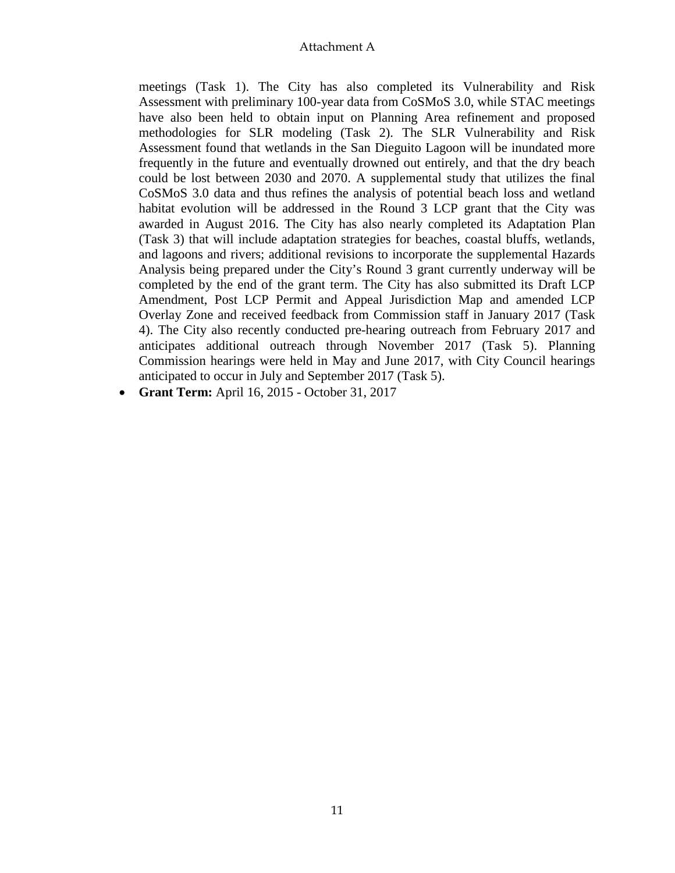meetings (Task 1). The City has also completed its Vulnerability and Risk Assessment with preliminary 100-year data from CoSMoS 3.0, while STAC meetings have also been held to obtain input on Planning Area refinement and proposed methodologies for SLR modeling (Task 2). The SLR Vulnerability and Risk Assessment found that wetlands in the San Dieguito Lagoon will be inundated more frequently in the future and eventually drowned out entirely, and that the dry beach could be lost between 2030 and 2070. A supplemental study that utilizes the final CoSMoS 3.0 data and thus refines the analysis of potential beach loss and wetland habitat evolution will be addressed in the Round 3 LCP grant that the City was awarded in August 2016. The City has also nearly completed its Adaptation Plan (Task 3) that will include adaptation strategies for beaches, coastal bluffs, wetlands, and lagoons and rivers; additional revisions to incorporate the supplemental Hazards Analysis being prepared under the City's Round 3 grant currently underway will be completed by the end of the grant term. The City has also submitted its Draft LCP Amendment, Post LCP Permit and Appeal Jurisdiction Map and amended LCP Overlay Zone and received feedback from Commission staff in January 2017 (Task 4). The City also recently conducted pre-hearing outreach from February 2017 and anticipates additional outreach through November 2017 (Task 5). Planning Commission hearings were held in May and June 2017, with City Council hearings anticipated to occur in July and September 2017 (Task 5).

• **Grant Term:** April 16, 2015 - October 31, 2017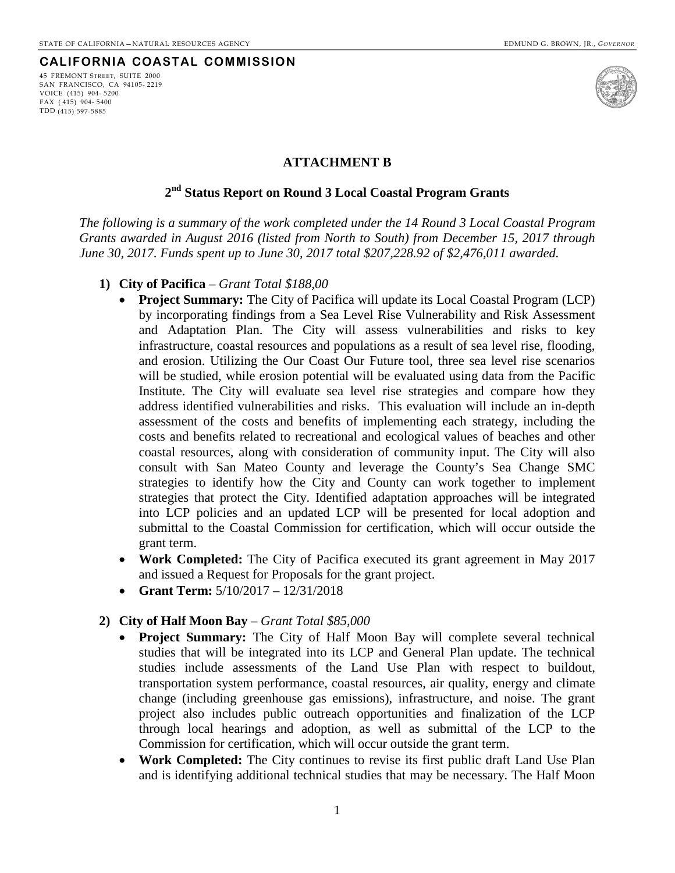## **CALIFORNIA COASTAL COMMISSION**

45 FREMONT STREET, SUITE 2000 SAN FRANCISCO, CA 94105- 2219 VOICE (415) 904- 5200 FAX ( 415) 904- 5400 TDD (415) 597-5885



#### **ATTACHMENT B**

## **2nd Status Report on Round 3 Local Coastal Program Grants**

<span id="page-17-0"></span>*The following is a summary of the work completed under the 14 Round 3 Local Coastal Program Grants awarded in August 2016 (listed from North to South) from December 15, 2017 through June 30, 2017. Funds spent up to June 30, 2017 total \$207,228.92 of \$2,476,011 awarded.*

- **1) City of Pacifica**  *Grant Total \$188,00*
	- **Project Summary:** The City of Pacifica will update its Local Coastal Program (LCP) by incorporating findings from a Sea Level Rise Vulnerability and Risk Assessment and Adaptation Plan. The City will assess vulnerabilities and risks to key infrastructure, coastal resources and populations as a result of sea level rise, flooding, and erosion. Utilizing the Our Coast Our Future tool, three sea level rise scenarios will be studied, while erosion potential will be evaluated using data from the Pacific Institute. The City will evaluate sea level rise strategies and compare how they address identified vulnerabilities and risks. This evaluation will include an in-depth assessment of the costs and benefits of implementing each strategy, including the costs and benefits related to recreational and ecological values of beaches and other coastal resources, along with consideration of community input. The City will also consult with San Mateo County and leverage the County's Sea Change SMC strategies to identify how the City and County can work together to implement strategies that protect the City. Identified adaptation approaches will be integrated into LCP policies and an updated LCP will be presented for local adoption and submittal to the Coastal Commission for certification, which will occur outside the grant term.
	- **Work Completed:** The City of Pacifica executed its grant agreement in May 2017 and issued a Request for Proposals for the grant project.
	- **Grant Term:** 5/10/2017 12/31/2018

#### **2) City of Half Moon Bay** – *Grant Total \$85,000*

- **Project Summary:** The City of Half Moon Bay will complete several technical studies that will be integrated into its LCP and General Plan update. The technical studies include assessments of the Land Use Plan with respect to buildout, transportation system performance, coastal resources, air quality, energy and climate change (including greenhouse gas emissions), infrastructure, and noise. The grant project also includes public outreach opportunities and finalization of the LCP through local hearings and adoption, as well as submittal of the LCP to the Commission for certification, which will occur outside the grant term.
- **Work Completed:** The City continues to revise its first public draft Land Use Plan and is identifying additional technical studies that may be necessary. The Half Moon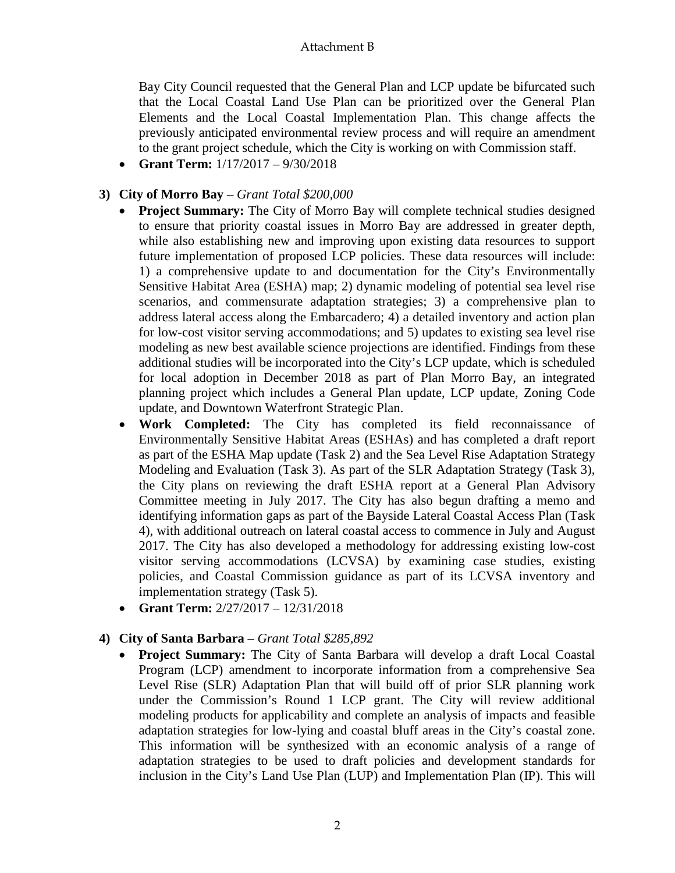Bay City Council requested that the General Plan and LCP update be bifurcated such that the Local Coastal Land Use Plan can be prioritized over the General Plan Elements and the Local Coastal Implementation Plan. This change affects the previously anticipated environmental review process and will require an amendment to the grant project schedule, which the City is working on with Commission staff.

• **Grant Term:** 1/17/2017 – 9/30/2018

## **3) City of Morro Bay** – *Grant Total \$200,000*

- **Project Summary:** The City of Morro Bay will complete technical studies designed to ensure that priority coastal issues in Morro Bay are addressed in greater depth, while also establishing new and improving upon existing data resources to support future implementation of proposed LCP policies. These data resources will include: 1) a comprehensive update to and documentation for the City's Environmentally Sensitive Habitat Area (ESHA) map; 2) dynamic modeling of potential sea level rise scenarios, and commensurate adaptation strategies; 3) a comprehensive plan to address lateral access along the Embarcadero; 4) a detailed inventory and action plan for low-cost visitor serving accommodations; and 5) updates to existing sea level rise modeling as new best available science projections are identified. Findings from these additional studies will be incorporated into the City's LCP update, which is scheduled for local adoption in December 2018 as part of Plan Morro Bay, an integrated planning project which includes a General Plan update, LCP update, Zoning Code update, and Downtown Waterfront Strategic Plan.
- **Work Completed:** The City has completed its field reconnaissance of Environmentally Sensitive Habitat Areas (ESHAs) and has completed a draft report as part of the ESHA Map update (Task 2) and the Sea Level Rise Adaptation Strategy Modeling and Evaluation (Task 3). As part of the SLR Adaptation Strategy (Task 3), the City plans on reviewing the draft ESHA report at a General Plan Advisory Committee meeting in July 2017. The City has also begun drafting a memo and identifying information gaps as part of the Bayside Lateral Coastal Access Plan (Task 4), with additional outreach on lateral coastal access to commence in July and August 2017. The City has also developed a methodology for addressing existing low-cost visitor serving accommodations (LCVSA) by examining case studies, existing policies, and Coastal Commission guidance as part of its LCVSA inventory and implementation strategy (Task 5).
- **Grant Term:** 2/27/2017 12/31/2018

## **4) City of Santa Barbara** – *Grant Total \$285,892*

• **Project Summary:** The City of Santa Barbara will develop a draft Local Coastal Program (LCP) amendment to incorporate information from a comprehensive Sea Level Rise (SLR) Adaptation Plan that will build off of prior SLR planning work under the Commission's Round 1 LCP grant. The City will review additional modeling products for applicability and complete an analysis of impacts and feasible adaptation strategies for low-lying and coastal bluff areas in the City's coastal zone. This information will be synthesized with an economic analysis of a range of adaptation strategies to be used to draft policies and development standards for inclusion in the City's Land Use Plan (LUP) and Implementation Plan (IP). This will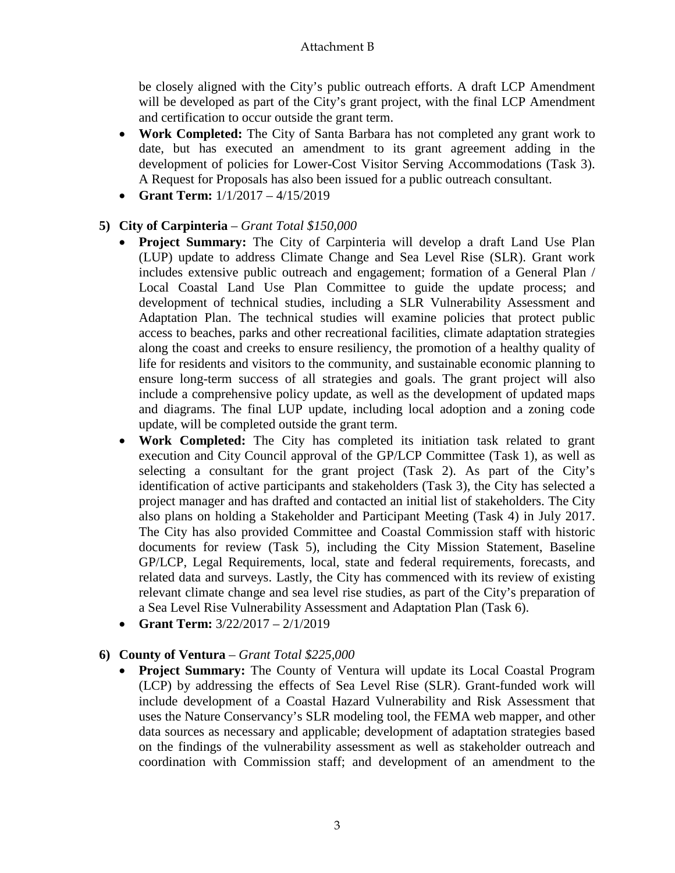be closely aligned with the City's public outreach efforts. A draft LCP Amendment will be developed as part of the City's grant project, with the final LCP Amendment and certification to occur outside the grant term.

- **Work Completed:** The City of Santa Barbara has not completed any grant work to date, but has executed an amendment to its grant agreement adding in the development of policies for Lower-Cost Visitor Serving Accommodations (Task 3). A Request for Proposals has also been issued for a public outreach consultant.
- **Grant Term:** 1/1/2017 4/15/2019

## **5) City of Carpinteria** – *Grant Total \$150,000*

- **Project Summary:** The City of Carpinteria will develop a draft Land Use Plan (LUP) update to address Climate Change and Sea Level Rise (SLR). Grant work includes extensive public outreach and engagement; formation of a General Plan / Local Coastal Land Use Plan Committee to guide the update process; and development of technical studies, including a SLR Vulnerability Assessment and Adaptation Plan. The technical studies will examine policies that protect public access to beaches, parks and other recreational facilities, climate adaptation strategies along the coast and creeks to ensure resiliency, the promotion of a healthy quality of life for residents and visitors to the community, and sustainable economic planning to ensure long-term success of all strategies and goals. The grant project will also include a comprehensive policy update, as well as the development of updated maps and diagrams. The final LUP update, including local adoption and a zoning code update, will be completed outside the grant term.
- **Work Completed:** The City has completed its initiation task related to grant execution and City Council approval of the GP/LCP Committee (Task 1), as well as selecting a consultant for the grant project (Task 2). As part of the City's identification of active participants and stakeholders (Task 3), the City has selected a project manager and has drafted and contacted an initial list of stakeholders. The City also plans on holding a Stakeholder and Participant Meeting (Task 4) in July 2017. The City has also provided Committee and Coastal Commission staff with historic documents for review (Task 5), including the City Mission Statement, Baseline GP/LCP, Legal Requirements, local, state and federal requirements, forecasts, and related data and surveys. Lastly, the City has commenced with its review of existing relevant climate change and sea level rise studies, as part of the City's preparation of a Sea Level Rise Vulnerability Assessment and Adaptation Plan (Task 6).
- **Grant Term:** 3/22/2017 2/1/2019

## **6) County of Ventura** – *Grant Total \$225,000*

• **Project Summary:** The County of Ventura will update its Local Coastal Program (LCP) by addressing the effects of Sea Level Rise (SLR). Grant-funded work will include development of a Coastal Hazard Vulnerability and Risk Assessment that uses the Nature Conservancy's SLR modeling tool, the FEMA web mapper, and other data sources as necessary and applicable; development of adaptation strategies based on the findings of the vulnerability assessment as well as stakeholder outreach and coordination with Commission staff; and development of an amendment to the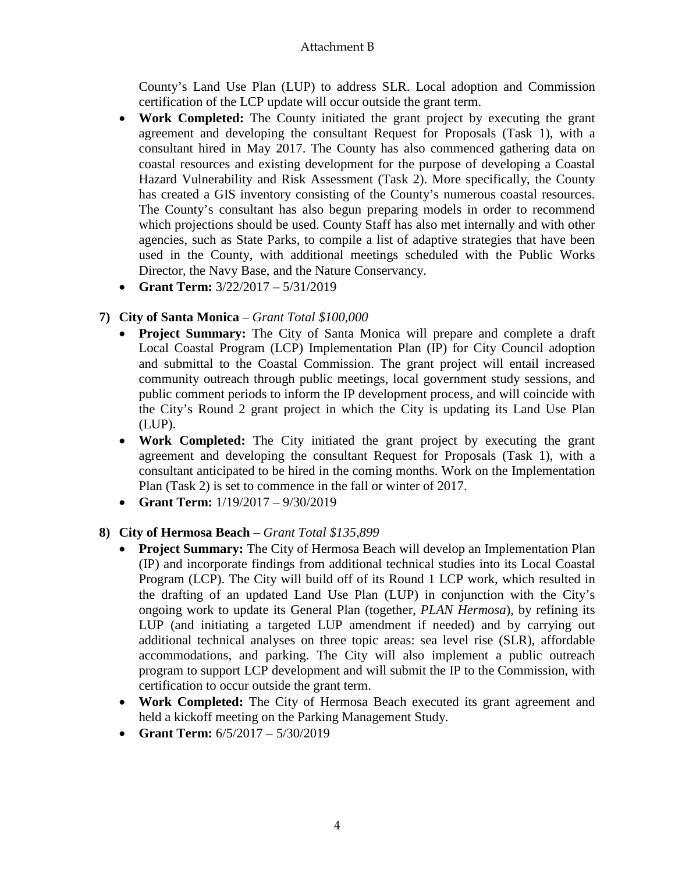County's Land Use Plan (LUP) to address SLR. Local adoption and Commission certification of the LCP update will occur outside the grant term.

- **Work Completed:** The County initiated the grant project by executing the grant agreement and developing the consultant Request for Proposals (Task 1), with a consultant hired in May 2017. The County has also commenced gathering data on coastal resources and existing development for the purpose of developing a Coastal Hazard Vulnerability and Risk Assessment (Task 2). More specifically, the County has created a GIS inventory consisting of the County's numerous coastal resources. The County's consultant has also begun preparing models in order to recommend which projections should be used. County Staff has also met internally and with other agencies, such as State Parks, to compile a list of adaptive strategies that have been used in the County, with additional meetings scheduled with the Public Works Director, the Navy Base, and the Nature Conservancy.
- **Grant Term:** 3/22/2017 5/31/2019

# **7) City of Santa Monica** – *Grant Total \$100,000*

- **Project Summary:** The City of Santa Monica will prepare and complete a draft Local Coastal Program (LCP) Implementation Plan (IP) for City Council adoption and submittal to the Coastal Commission. The grant project will entail increased community outreach through public meetings, local government study sessions, and public comment periods to inform the IP development process, and will coincide with the City's Round 2 grant project in which the City is updating its Land Use Plan (LUP).
- **Work Completed:** The City initiated the grant project by executing the grant agreement and developing the consultant Request for Proposals (Task 1), with a consultant anticipated to be hired in the coming months. Work on the Implementation Plan (Task 2) is set to commence in the fall or winter of 2017.
- **Grant Term:** 1/19/2017 9/30/2019

# **8) City of Hermosa Beach** – *Grant Total \$135,899*

- **Project Summary:** The City of Hermosa Beach will develop an Implementation Plan (IP) and incorporate findings from additional technical studies into its Local Coastal Program (LCP). The City will build off of its Round 1 LCP work, which resulted in the drafting of an updated Land Use Plan (LUP) in conjunction with the City's ongoing work to update its General Plan (together, *PLAN Hermosa*), by refining its LUP (and initiating a targeted LUP amendment if needed) and by carrying out additional technical analyses on three topic areas: sea level rise (SLR), affordable accommodations, and parking. The City will also implement a public outreach program to support LCP development and will submit the IP to the Commission, with certification to occur outside the grant term.
- **Work Completed:** The City of Hermosa Beach executed its grant agreement and held a kickoff meeting on the Parking Management Study.
- **Grant Term:** 6/5/2017 5/30/2019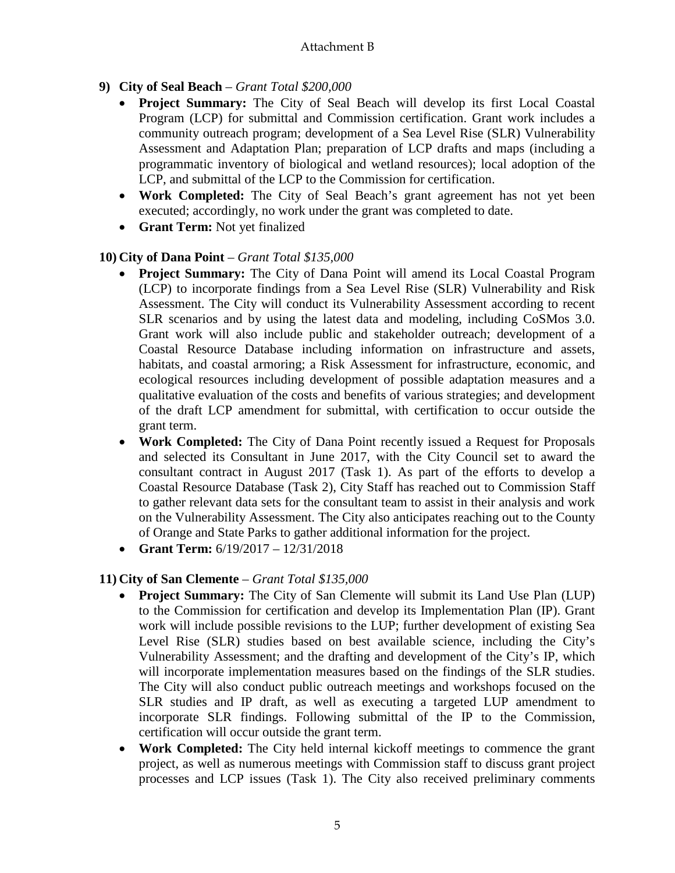# **9) City of Seal Beach** – *Grant Total \$200,000*

- **Project Summary:** The City of Seal Beach will develop its first Local Coastal Program (LCP) for submittal and Commission certification. Grant work includes a community outreach program; development of a Sea Level Rise (SLR) Vulnerability Assessment and Adaptation Plan; preparation of LCP drafts and maps (including a programmatic inventory of biological and wetland resources); local adoption of the LCP, and submittal of the LCP to the Commission for certification.
- **Work Completed:** The City of Seal Beach's grant agreement has not yet been executed; accordingly, no work under the grant was completed to date.
- **Grant Term:** Not yet finalized

# **10) City of Dana Point** – *Grant Total \$135,000*

- **Project Summary:** The City of Dana Point will amend its Local Coastal Program (LCP) to incorporate findings from a Sea Level Rise (SLR) Vulnerability and Risk Assessment. The City will conduct its Vulnerability Assessment according to recent SLR scenarios and by using the latest data and modeling, including CoSMos 3.0. Grant work will also include public and stakeholder outreach; development of a Coastal Resource Database including information on infrastructure and assets, habitats, and coastal armoring; a Risk Assessment for infrastructure, economic, and ecological resources including development of possible adaptation measures and a qualitative evaluation of the costs and benefits of various strategies; and development of the draft LCP amendment for submittal, with certification to occur outside the grant term.
- **Work Completed:** The City of Dana Point recently issued a Request for Proposals and selected its Consultant in June 2017, with the City Council set to award the consultant contract in August 2017 (Task 1). As part of the efforts to develop a Coastal Resource Database (Task 2), City Staff has reached out to Commission Staff to gather relevant data sets for the consultant team to assist in their analysis and work on the Vulnerability Assessment. The City also anticipates reaching out to the County of Orange and State Parks to gather additional information for the project.
- **Grant Term:** 6/19/2017 12/31/2018

# **11) City of San Clemente** – *Grant Total \$135,000*

- **Project Summary:** The City of San Clemente will submit its Land Use Plan (LUP) to the Commission for certification and develop its Implementation Plan (IP). Grant work will include possible revisions to the LUP; further development of existing Sea Level Rise (SLR) studies based on best available science, including the City's Vulnerability Assessment; and the drafting and development of the City's IP, which will incorporate implementation measures based on the findings of the SLR studies. The City will also conduct public outreach meetings and workshops focused on the SLR studies and IP draft, as well as executing a targeted LUP amendment to incorporate SLR findings. Following submittal of the IP to the Commission, certification will occur outside the grant term.
- **Work Completed:** The City held internal kickoff meetings to commence the grant project, as well as numerous meetings with Commission staff to discuss grant project processes and LCP issues (Task 1). The City also received preliminary comments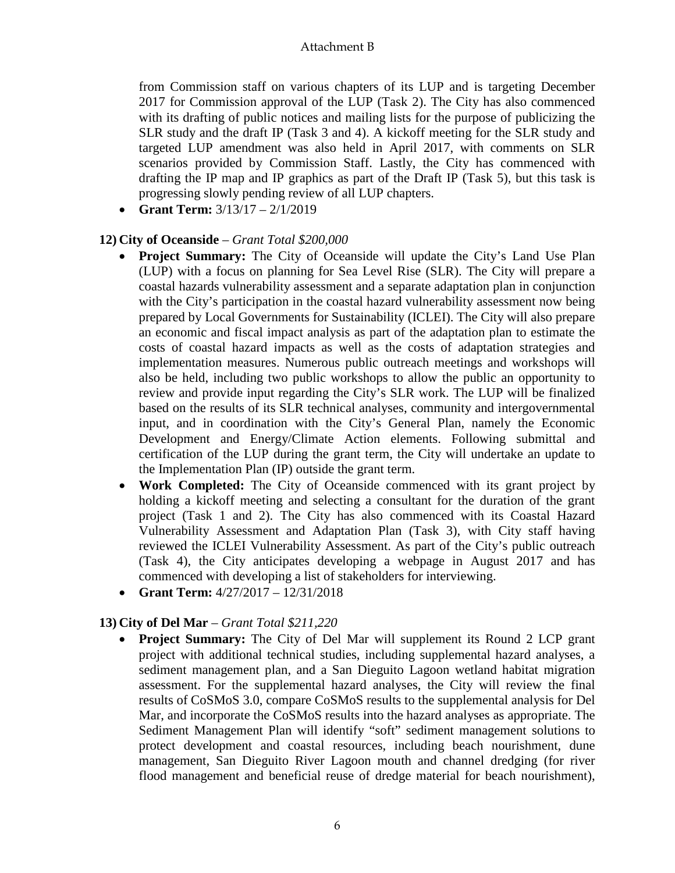from Commission staff on various chapters of its LUP and is targeting December 2017 for Commission approval of the LUP (Task 2). The City has also commenced with its drafting of public notices and mailing lists for the purpose of publicizing the SLR study and the draft IP (Task 3 and 4). A kickoff meeting for the SLR study and targeted LUP amendment was also held in April 2017, with comments on SLR scenarios provided by Commission Staff. Lastly, the City has commenced with drafting the IP map and IP graphics as part of the Draft IP (Task 5), but this task is progressing slowly pending review of all LUP chapters.

• **Grant Term:** 3/13/17 – 2/1/2019

## **12) City of Oceanside** – *Grant Total \$200,000*

- **Project Summary:** The City of Oceanside will update the City's Land Use Plan (LUP) with a focus on planning for Sea Level Rise (SLR). The City will prepare a coastal hazards vulnerability assessment and a separate adaptation plan in conjunction with the City's participation in the coastal hazard vulnerability assessment now being prepared by Local Governments for Sustainability (ICLEI). The City will also prepare an economic and fiscal impact analysis as part of the adaptation plan to estimate the costs of coastal hazard impacts as well as the costs of adaptation strategies and implementation measures. Numerous public outreach meetings and workshops will also be held, including two public workshops to allow the public an opportunity to review and provide input regarding the City's SLR work. The LUP will be finalized based on the results of its SLR technical analyses, community and intergovernmental input, and in coordination with the City's General Plan, namely the Economic Development and Energy/Climate Action elements. Following submittal and certification of the LUP during the grant term, the City will undertake an update to the Implementation Plan (IP) outside the grant term.
- **Work Completed:** The City of Oceanside commenced with its grant project by holding a kickoff meeting and selecting a consultant for the duration of the grant project (Task 1 and 2). The City has also commenced with its Coastal Hazard Vulnerability Assessment and Adaptation Plan (Task 3), with City staff having reviewed the ICLEI Vulnerability Assessment. As part of the City's public outreach (Task 4), the City anticipates developing a webpage in August 2017 and has commenced with developing a list of stakeholders for interviewing.
- **Grant Term:** 4/27/2017 12/31/2018

## **13) City of Del Mar** – *Grant Total \$211,220*

• **Project Summary:** The City of Del Mar will supplement its Round 2 LCP grant project with additional technical studies, including supplemental hazard analyses, a sediment management plan, and a San Dieguito Lagoon wetland habitat migration assessment. For the supplemental hazard analyses, the City will review the final results of CoSMoS 3.0, compare CoSMoS results to the supplemental analysis for Del Mar, and incorporate the CoSMoS results into the hazard analyses as appropriate. The Sediment Management Plan will identify "soft" sediment management solutions to protect development and coastal resources, including beach nourishment, dune management, San Dieguito River Lagoon mouth and channel dredging (for river flood management and beneficial reuse of dredge material for beach nourishment),